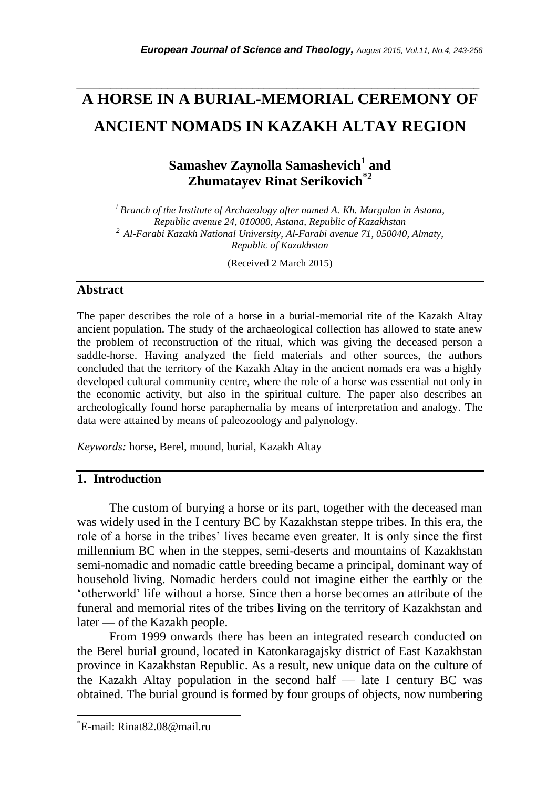# **A HORSE IN A BURIAL-MEMORIAL CEREMONY OF ANCIENT NOMADS IN KAZAKH ALTAY REGION**

*\_\_\_\_\_\_\_\_\_\_\_\_\_\_\_\_\_\_\_\_\_\_\_\_\_\_\_\_\_\_\_\_\_\_\_\_\_\_\_\_\_\_\_\_\_\_\_\_\_\_\_\_\_\_\_\_\_\_\_\_\_\_\_\_\_\_\_\_\_\_\_*

**Samashev Zaynolla Samashevich<sup>1</sup> and Zhumatayev Rinat Serikovich\*2**

*<sup>1</sup>Branch of the Institute of Archaeology after named A. Kh. Margulan in Astana, Republic avenue 24, 010000, Astana, Republic of Kazakhstan <sup>2</sup> Al-Farabi Kazakh National University, Al-Farabi avenue 71, 050040, Almaty, Republic of Kazakhstan*

(Received 2 March 2015)

# **Abstract**

The paper describes the role of a horse in a burial-memorial rite of the Kazakh Altay ancient population. The study of the archaeological collection has allowed to state anew the problem of reconstruction of the ritual, which was giving the deceased person a saddle-horse. Having analyzed the field materials and other sources, the authors concluded that the territory of the Kazakh Altay in the ancient nomads era was a highly developed cultural community centre, where the role of a horse was essential not only in the economic activity, but also in the spiritual culture. The paper also describes an archeologically found horse paraphernalia by means of interpretation and analogy. The data were attained by means of paleozoology and palynology.

*Keywords:* horse, Berel, mound, burial, Kazakh Altay

# **1. Introduction**

The custom of burying a horse or its part, together with the deceased man was widely used in the I century BC by Kazakhstan steppe tribes. In this era, the role of a horse in the tribes' lives became even greater. It is only since the first millennium BC when in the steppes, semi-deserts and mountains of Kazakhstan semi-nomadic and nomadic cattle breeding became a principal, dominant way of household living. Nomadic herders could not imagine either the earthly or the 'otherworld' life without a horse. Since then a horse becomes an attribute of the funeral and memorial rites of the tribes living on the territory of Kazakhstan and later — of the Kazakh people.

From 1999 onwards there has been an integrated research conducted on the Berel burial ground, located in Katonkaragajsky district of East Kazakhstan province in Kazakhstan Republic. As a result, new unique data on the culture of the Kazakh Altay population in the second half  $-$  late I century BC was obtained. The burial ground is formed by four groups of objects, now numbering

l

<sup>\*</sup>E-mail: Rinat82.08@mail.ru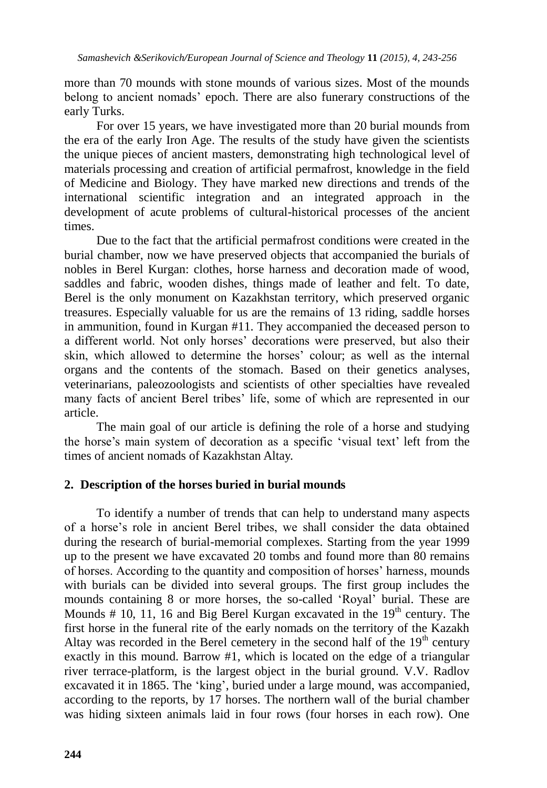more than 70 mounds with stone mounds of various sizes. Most of the mounds belong to ancient nomads' epoch. There are also funerary constructions of the early Turks.

For over 15 years, we have investigated more than 20 burial mounds from the era of the early Iron Age. The results of the study have given the scientists the unique pieces of ancient masters, demonstrating high technological level of materials processing and creation of artificial permafrost, knowledge in the field of Medicine and Biology. They have marked new directions and trends of the international scientific integration and an integrated approach in the development of acute problems of cultural-historical processes of the ancient times.

Due to the fact that the artificial permafrost conditions were created in the burial chamber, now we have preserved objects that accompanied the burials of nobles in Berel Kurgan: clothes, horse harness and decoration made of wood, saddles and fabric, wooden dishes, things made of leather and felt. To date, Berel is the only monument on Kazakhstan territory, which preserved organic treasures. Especially valuable for us are the remains of 13 riding, saddle horses in ammunition, found in Kurgan #11. They accompanied the deceased person to a different world. Not only horses' decorations were preserved, but also their skin, which allowed to determine the horses' colour; as well as the internal organs and the contents of the stomach. Based on their genetics analyses, veterinarians, paleozoologists and scientists of other specialties have revealed many facts of ancient Berel tribes' life, some of which are represented in our article.

The main goal of our article is defining the role of a horse and studying the horse's main system of decoration as a specific 'visual text' left from the times of ancient nomads of Kazakhstan Altay.

## **2. Description of the horses buried in burial mounds**

To identify a number of trends that can help to understand many aspects of a horse's role in ancient Berel tribes, we shall consider the data obtained during the research of burial-memorial complexes. Starting from the year 1999 up to the present we have excavated 20 tombs and found more than 80 remains of horses. According to the quantity and composition of horses' harness, mounds with burials can be divided into several groups. The first group includes the mounds containing 8 or more horses, the so-called 'Royal' burial. These are Mounds  $# 10$ , 11, 16 and Big Berel Kurgan excavated in the  $19<sup>th</sup>$  century. The first horse in the funeral rite of the early nomads on the territory of the Kazakh Altay was recorded in the Berel cemetery in the second half of the  $19<sup>th</sup>$  century exactly in this mound. Barrow #1, which is located on the edge of a triangular river terrace-platform, is the largest object in the burial ground. V.V. Radlov excavated it in 1865. The 'king', buried under a large mound, was accompanied, according to the reports, by 17 horses. The northern wall of the burial chamber was hiding sixteen animals laid in four rows (four horses in each row). One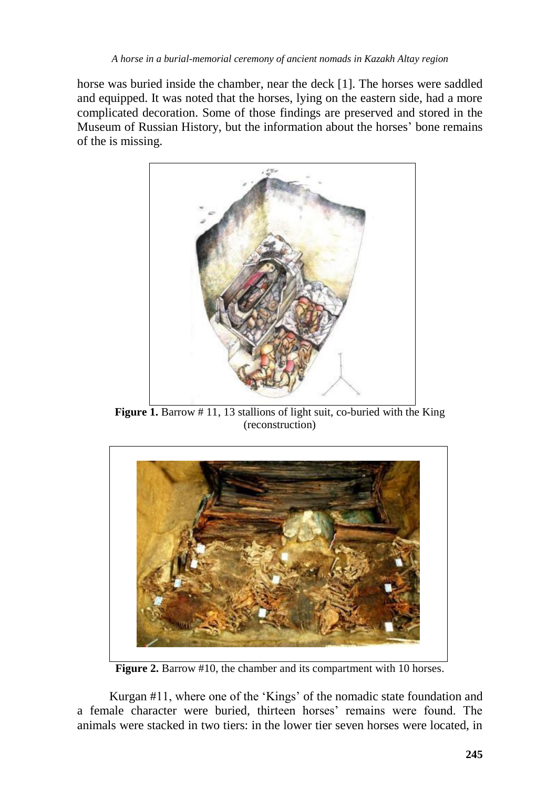horse was buried inside the chamber, near the deck [1]. The horses were saddled and equipped. It was noted that the horses, lying on the eastern side, had a more complicated decoration. Some of those findings are preserved and stored in the Museum of Russian History, but the information about the horses' bone remains of the is missing.



**Figure 1.** Barrow # 11, 13 stallions of light suit, co-buried with the King (reconstruction)



**Figure 2.** Barrow #10, the chamber and its compartment with 10 horses.

Kurgan #11, where one of the 'Kings' of the nomadic state foundation and a female character were buried, thirteen horses' remains were found. The animals were stacked in two tiers: in the lower tier seven horses were located, in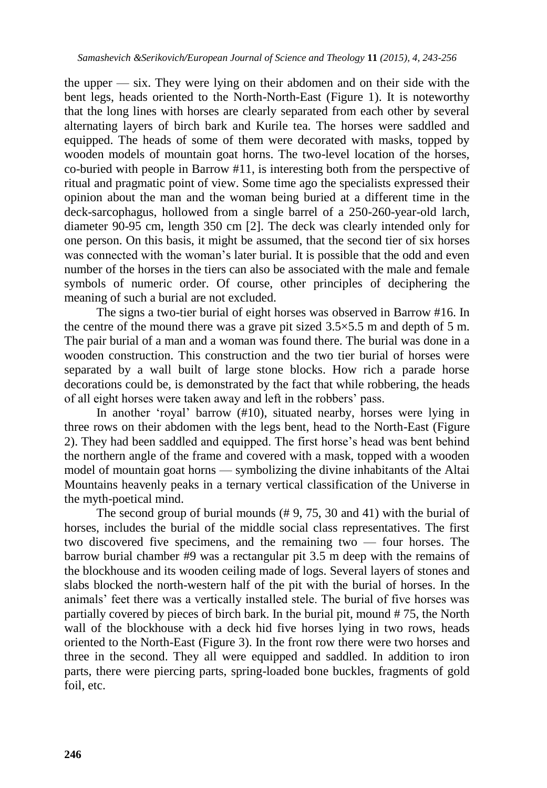the upper — six. They were lying on their abdomen and on their side with the bent legs, heads oriented to the North-North-East (Figure 1). It is noteworthy that the long lines with horses are clearly separated from each other by several alternating layers of birch bark and Kurile tea. The horses were saddled and equipped. The heads of some of them were decorated with masks, topped by wooden models of mountain goat horns. The two-level location of the horses, co-buried with people in Barrow #11, is interesting both from the perspective of ritual and pragmatic point of view. Some time ago the specialists expressed their opinion about the man and the woman being buried at a different time in the deck-sarcophagus, hollowed from a single barrel of a 250-260-year-old larch, diameter 90-95 cm, length 350 cm [2]. The deck was clearly intended only for one person. On this basis, it might be assumed, that the second tier of six horses was connected with the woman's later burial. It is possible that the odd and even number of the horses in the tiers can also be associated with the male and female symbols of numeric order. Of course, other principles of deciphering the meaning of such a burial are not excluded.

The signs a two-tier burial of eight horses was observed in Barrow #16. In the centre of the mound there was a grave pit sized  $3.5 \times 5.5$  m and depth of 5 m. The pair burial of a man and a woman was found there. The burial was done in a wooden construction. This construction and the two tier burial of horses were separated by a wall built of large stone blocks. How rich a parade horse decorations could be, is demonstrated by the fact that while robbering, the heads of all eight horses were taken away and left in the robbers' pass.

In another 'royal' barrow (#10), situated nearby, horses were lying in three rows on their abdomen with the legs bent, head to the North-East (Figure 2). They had been saddled and equipped. The first horse's head was bent behind the northern angle of the frame and covered with a mask, topped with a wooden model of mountain goat horns — symbolizing the divine inhabitants of the Altai Mountains heavenly peaks in a ternary vertical classification of the Universe in the myth-poetical mind.

The second group of burial mounds (# 9, 75, 30 and 41) with the burial of horses, includes the burial of the middle social class representatives. The first two discovered five specimens, and the remaining two — four horses. The barrow burial chamber #9 was a rectangular pit 3.5 m deep with the remains of the blockhouse and its wooden ceiling made of logs. Several layers of stones and slabs blocked the north-western half of the pit with the burial of horses. In the animals' feet there was a vertically installed stele. The burial of five horses was partially covered by pieces of birch bark. In the burial pit, mound # 75, the North wall of the blockhouse with a deck hid five horses lying in two rows, heads oriented to the North-East (Figure 3). In the front row there were two horses and three in the second. They all were equipped and saddled. In addition to iron parts, there were piercing parts, spring-loaded bone buckles, fragments of gold foil, etc.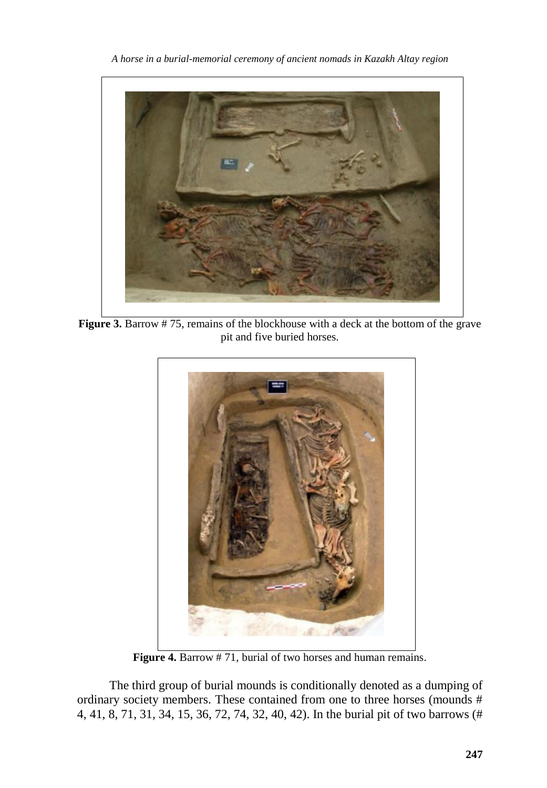*A horse in a burial-memorial ceremony of ancient nomads in Kazakh Altay region*



**Figure 3.** Barrow # 75, remains of the blockhouse with a deck at the bottom of the grave pit and five buried horses.



**Figure 4.** Barrow # 71, burial of two horses and human remains.

The third group of burial mounds is conditionally denoted as a dumping of ordinary society members. These contained from one to three horses (mounds # 4, 41, 8, 71, 31, 34, 15, 36, 72, 74, 32, 40, 42). In the burial pit of two barrows (#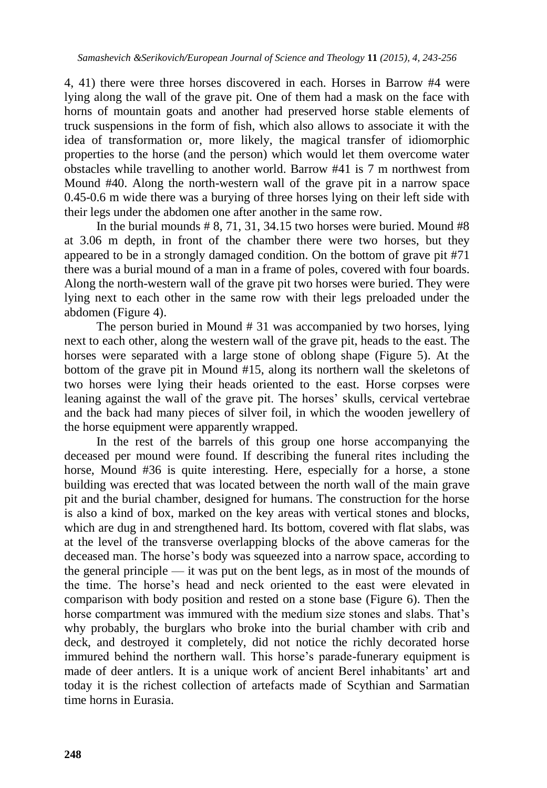4, 41) there were three horses discovered in each. Horses in Barrow #4 were lying along the wall of the grave pit. One of them had a mask on the face with horns of mountain goats and another had preserved horse stable elements of truck suspensions in the form of fish, which also allows to associate it with the idea of transformation or, more likely, the magical transfer of idiomorphic properties to the horse (and the person) which would let them overcome water obstacles while travelling to another world. Barrow #41 is 7 m northwest from Mound #40. Along the north-western wall of the grave pit in a narrow space 0.45-0.6 m wide there was a burying of three horses lying on their left side with their legs under the abdomen one after another in the same row.

In the burial mounds  $# 8, 71, 31, 34.15$  two horses were buried. Mound  $#8$ at 3.06 m depth, in front of the chamber there were two horses, but they appeared to be in a strongly damaged condition. On the bottom of grave pit #71 there was a burial mound of a man in a frame of poles, covered with four boards. Along the north-western wall of the grave pit two horses were buried. They were lying next to each other in the same row with their legs preloaded under the abdomen (Figure 4).

The person buried in Mound # 31 was accompanied by two horses, lying next to each other, along the western wall of the grave pit, heads to the east. The horses were separated with a large stone of oblong shape (Figure 5). At the bottom of the grave pit in Mound #15, along its northern wall the skeletons of two horses were lying their heads oriented to the east. Horse corpses were leaning against the wall of the grave pit. The horses' skulls, cervical vertebrae and the back had many pieces of silver foil, in which the wooden jewellery of the horse equipment were apparently wrapped.

In the rest of the barrels of this group one horse accompanying the deceased per mound were found. If describing the funeral rites including the horse, Mound #36 is quite interesting. Here, especially for a horse, a stone building was erected that was located between the north wall of the main grave pit and the burial chamber, designed for humans. The construction for the horse is also a kind of box, marked on the key areas with vertical stones and blocks, which are dug in and strengthened hard. Its bottom, covered with flat slabs, was at the level of the transverse overlapping blocks of the above cameras for the deceased man. The horse's body was squeezed into a narrow space, according to the general principle — it was put on the bent legs, as in most of the mounds of the time. The horse's head and neck oriented to the east were elevated in comparison with body position and rested on a stone base (Figure 6). Then the horse compartment was immured with the medium size stones and slabs. That's why probably, the burglars who broke into the burial chamber with crib and deck, and destroyed it completely, did not notice the richly decorated horse immured behind the northern wall. This horse's parade-funerary equipment is made of deer antlers. It is a unique work of ancient Berel inhabitants' art and today it is the richest collection of artefacts made of Scythian and Sarmatian time horns in Eurasia.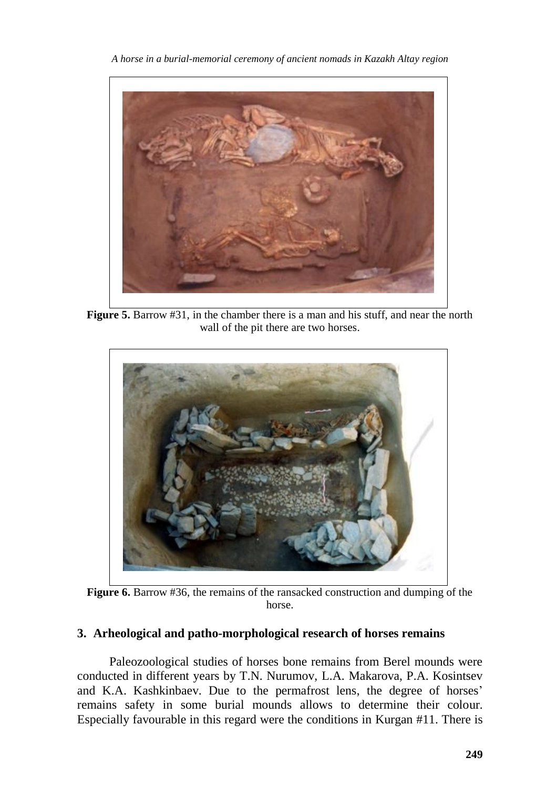*A horse in a burial-memorial ceremony of ancient nomads in Kazakh Altay region*



**Figure 5.** Barrow #31, in the chamber there is a man and his stuff, and near the north wall of the pit there are two horses.



**Figure 6.** Barrow #36, the remains of the ransacked construction and dumping of the horse.

## **3. Arheological and patho-morphological research of horses remains**

Paleozoological studies of horses bone remains from Berel mounds were conducted in different years by T.N. Nurumov, L.A. Makarova, P.A. Kosintsev and K.A. Kashkinbaev. Due to the permafrost lens, the degree of horses' remains safety in some burial mounds allows to determine their colour. Especially favourable in this regard were the conditions in Kurgan #11. There is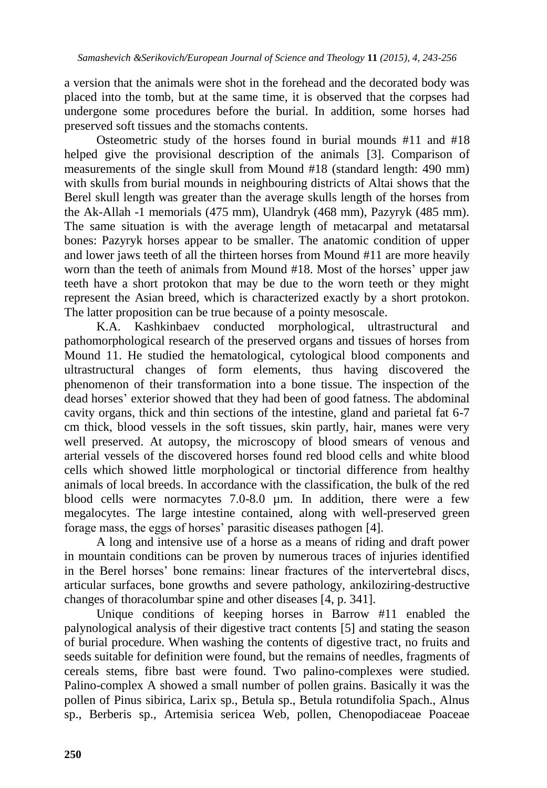a version that the animals were shot in the forehead and the decorated body was placed into the tomb, but at the same time, it is observed that the corpses had undergone some procedures before the burial. In addition, some horses had preserved soft tissues and the stomachs contents.

Osteometric study of the horses found in burial mounds #11 and #18 helped give the provisional description of the animals [3]. Comparison of measurements of the single skull from Mound #18 (standard length: 490 mm) with skulls from burial mounds in neighbouring districts of Altai shows that the Berel skull length was greater than the average skulls length of the horses from the Ak-Allah -1 memorials (475 mm), Ulandryk (468 mm), Pazyryk (485 mm). The same situation is with the average length of metacarpal and metatarsal bones: Pazyryk horses appear to be smaller. The anatomic condition of upper and lower jaws teeth of all the thirteen horses from Mound #11 are more heavily worn than the teeth of animals from Mound #18. Most of the horses' upper jaw teeth have a short protokon that may be due to the worn teeth or they might represent the Asian breed, which is characterized exactly by a short protokon. The latter proposition can be true because of a pointy mesoscale.

K.A. Kashkinbaev conducted morphological, ultrastructural and pathomorphological research of the preserved organs and tissues of horses from Mound 11. He studied the hematological, cytological blood components and ultrastructural changes of form elements, thus having discovered the phenomenon of their transformation into a bone tissue. The inspection of the dead horses' exterior showed that they had been of good fatness. The abdominal cavity organs, thick and thin sections of the intestine, gland and parietal fat 6-7 cm thick, blood vessels in the soft tissues, skin partly, hair, manes were very well preserved. At autopsy, the microscopy of blood smears of venous and arterial vessels of the discovered horses found red blood cells and white blood cells which showed little morphological or tinctorial difference from healthy animals of local breeds. In accordance with the classification, the bulk of the red blood cells were normacytes 7.0-8.0 µm. In addition, there were a few megalocytes. The large intestine contained, along with well-preserved green forage mass, the eggs of horses' parasitic diseases pathogen [4].

A long and intensive use of a horse as a means of riding and draft power in mountain conditions can be proven by numerous traces of injuries identified in the Berel horses' bone remains: linear fractures of the intervertebral discs, articular surfaces, bone growths and severe pathology, ankiloziring-destructive changes of thoracolumbar spine and other diseases [4, p. 341].

Unique conditions of keeping horses in Barrow #11 enabled the palynological analysis of their digestive tract contents [5] and stating the season of burial procedure. When washing the contents of digestive tract, no fruits and seeds suitable for definition were found, but the remains of needles, fragments of cereals stems, fibre bast were found. Two palino-complexes were studied. Palino-complex A showed a small number of pollen grains. Basically it was the pollen of Pinus sibirica, Larix sp., Betula sp., Betula rotundifolia Spach., Alnus sp., Berberis sp., Artemisia sericea Web, pollen, Chenopodiaceae Poaceae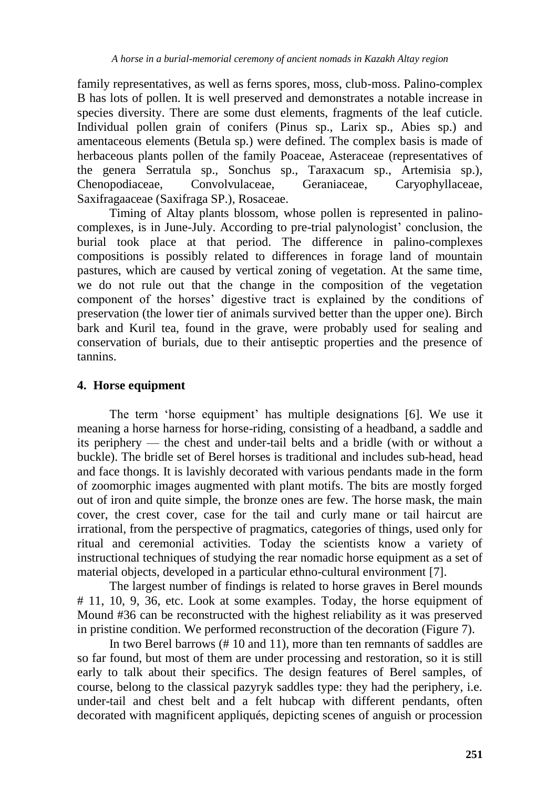family representatives, as well as ferns spores, moss, club-moss. Palino-complex B has lots of pollen. It is well preserved and demonstrates a notable increase in species diversity. There are some dust elements, fragments of the leaf cuticle. Individual pollen grain of conifers (Pinus sp., Larix sp., Abies sp.) and amentaceous elements (Betula sp.) were defined. The complex basis is made of herbaceous plants pollen of the family Poaceae, Asteraceae (representatives of the genera Serratula sp., Sonchus sp., Taraxacum sp., Artemisia sp.), Chenopodiaceae, Convolvulaceae, Geraniaceae, Caryophyllaceae, Saxifragaaceae (Saxifraga SP.), Rosaceae.

Timing of Altay plants blossom, whose pollen is represented in palinocomplexes, is in June-July. According to pre-trial palynologist' conclusion, the burial took place at that period. The difference in palino-complexes compositions is possibly related to differences in forage land of mountain pastures, which are caused by vertical zoning of vegetation. At the same time, we do not rule out that the change in the composition of the vegetation component of the horses' digestive tract is explained by the conditions of preservation (the lower tier of animals survived better than the upper one). Birch bark and Kuril tea, found in the grave, were probably used for sealing and conservation of burials, due to their antiseptic properties and the presence of tannins.

# **4. Horse equipment**

The term 'horse equipment' has multiple designations [6]. We use it meaning a horse harness for horse-riding, consisting of a headband, a saddle and its periphery — the chest and under-tail belts and a bridle (with or without a buckle). The bridle set of Berel horses is traditional and includes sub-head, head and face thongs. It is lavishly decorated with various pendants made in the form of zoomorphic images augmented with plant motifs. The bits are mostly forged out of iron and quite simple, the bronze ones are few. The horse mask, the main cover, the crest cover, case for the tail and curly mane or tail haircut are irrational, from the perspective of pragmatics, categories of things, used only for ritual and ceremonial activities. Today the scientists know a variety of instructional techniques of studying the rear nomadic horse equipment as a set of material objects, developed in a particular ethno-cultural environment [7].

The largest number of findings is related to horse graves in Berel mounds # 11, 10, 9, 36, etc. Look at some examples. Today, the horse equipment of Mound #36 can be reconstructed with the highest reliability as it was preserved in pristine condition. We performed reconstruction of the decoration (Figure 7).

In two Berel barrows (# 10 and 11), more than ten remnants of saddles are so far found, but most of them are under processing and restoration, so it is still early to talk about their specifics. The design features of Berel samples, of course, belong to the classical pazyryk saddles type: they had the periphery, i.e. under-tail and chest belt and a felt hubcap with different pendants, often decorated with magnificent appliqués, depicting scenes of anguish or procession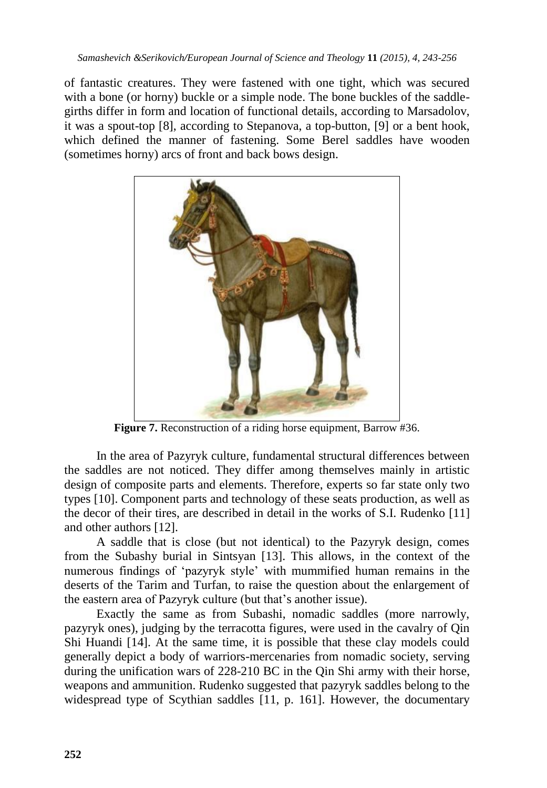of fantastic creatures. They were fastened with one tight, which was secured with a bone (or horny) buckle or a simple node. The bone buckles of the saddlegirths differ in form and location of functional details, according to Marsadolov, it was a spout-top [8], according to Stepanova, a top-button, [9] or a bent hook, which defined the manner of fastening. Some Berel saddles have wooden (sometimes horny) arcs of front and back bows design.



**Figure 7.** Reconstruction of a riding horse equipment, Barrow #36.

In the area of Pazyryk culture, fundamental structural differences between the saddles are not noticed. They differ among themselves mainly in artistic design of composite parts and elements. Therefore, experts so far state only two types [10]. Component parts and technology of these seats production, as well as the decor of their tires, are described in detail in the works of S.I. Rudenko [11] and other authors [12].

A saddle that is close (but not identical) to the Pazyryk design, comes from the Subashy burial in Sintsyan [13]. This allows, in the context of the numerous findings of 'pazyryk style' with mummified human remains in the deserts of the Tarim and Turfan, to raise the question about the enlargement of the eastern area of Pazyryk culture (but that's another issue).

Exactly the same as from Subashi, nomadic saddles (more narrowly, pazyryk ones), judging by the terracotta figures, were used in the cavalry of Qin Shi Huandi [14]. At the same time, it is possible that these clay models could generally depict a body of warriors-mercenaries from nomadic society, serving during the unification wars of 228-210 BC in the Qin Shi army with their horse, weapons and ammunition. Rudenko suggested that pazyryk saddles belong to the widespread type of Scythian saddles [11, p. 161]. However, the documentary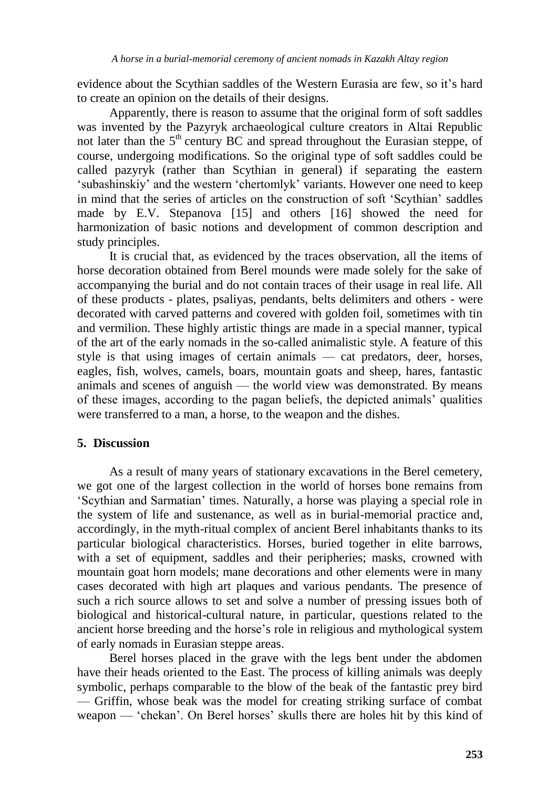evidence about the Scythian saddles of the Western Eurasia are few, so it's hard to create an opinion on the details of their designs.

Apparently, there is reason to assume that the original form of soft saddles was invented by the Pazyryk archaeological culture creators in Altai Republic not later than the  $5<sup>th</sup>$  century BC and spread throughout the Eurasian steppe, of course, undergoing modifications. So the original type of soft saddles could be called pazyryk (rather than Scythian in general) if separating the eastern 'subashinskiy' and the western 'chertomlyk' variants. However one need to keep in mind that the series of articles on the construction of soft 'Scythian' saddles made by E.V. Stepanova [15] and others [16] showed the need for harmonization of basic notions and development of common description and study principles.

It is crucial that, as evidenced by the traces observation, all the items of horse decoration obtained from Berel mounds were made solely for the sake of accompanying the burial and do not contain traces of their usage in real life. All of these products - plates, psaliyas, pendants, belts delimiters and others - were decorated with carved patterns and covered with golden foil, sometimes with tin and vermilion. These highly artistic things are made in a special manner, typical of the art of the early nomads in the so-called animalistic style. A feature of this style is that using images of certain animals — cat predators, deer, horses, eagles, fish, wolves, camels, boars, mountain goats and sheep, hares, fantastic animals and scenes of anguish — the world view was demonstrated. By means of these images, according to the pagan beliefs, the depicted animals' qualities were transferred to a man, a horse, to the weapon and the dishes.

# **5. Discussion**

As a result of many years of stationary excavations in the Berel cemetery, we got one of the largest collection in the world of horses bone remains from 'Scythian and Sarmatian' times. Naturally, a horse was playing a special role in the system of life and sustenance, as well as in burial-memorial practice and, accordingly, in the myth-ritual complex of ancient Berel inhabitants thanks to its particular biological characteristics. Horses, buried together in elite barrows, with a set of equipment, saddles and their peripheries; masks, crowned with mountain goat horn models; mane decorations and other elements were in many cases decorated with high art plaques and various pendants. The presence of such a rich source allows to set and solve a number of pressing issues both of biological and historical-cultural nature, in particular, questions related to the ancient horse breeding and the horse's role in religious and mythological system of early nomads in Eurasian steppe areas.

Berel horses placed in the grave with the legs bent under the abdomen have their heads oriented to the East. The process of killing animals was deeply symbolic, perhaps comparable to the blow of the beak of the fantastic prey bird — Griffin, whose beak was the model for creating striking surface of combat weapon — 'chekan'. On Berel horses' skulls there are holes hit by this kind of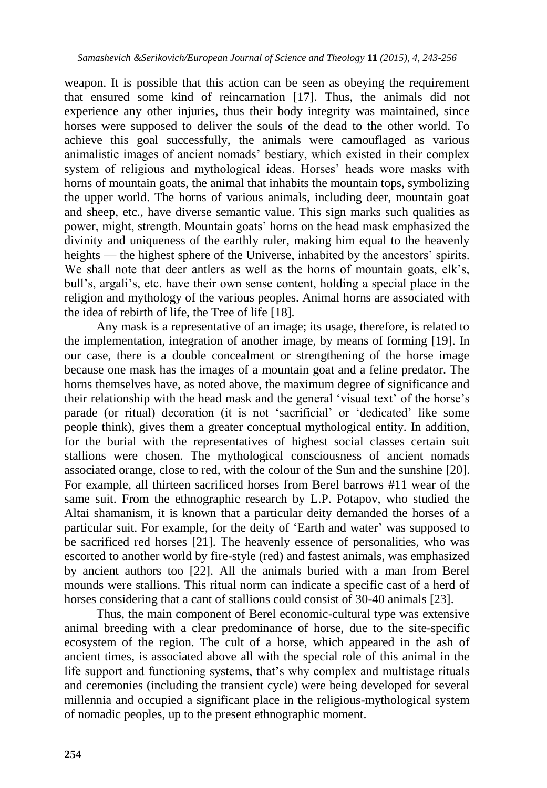weapon. It is possible that this action can be seen as obeying the requirement that ensured some kind of reincarnation [17]. Thus, the animals did not experience any other injuries, thus their body integrity was maintained, since horses were supposed to deliver the souls of the dead to the other world. To achieve this goal successfully, the animals were camouflaged as various animalistic images of ancient nomads' bestiary, which existed in their complex system of religious and mythological ideas. Horses' heads wore masks with horns of mountain goats, the animal that inhabits the mountain tops, symbolizing the upper world. The horns of various animals, including deer, mountain goat and sheep, etc., have diverse semantic value. This sign marks such qualities as power, might, strength. Mountain goats' horns on the head mask emphasized the divinity and uniqueness of the earthly ruler, making him equal to the heavenly heights — the highest sphere of the Universe, inhabited by the ancestors' spirits. We shall note that deer antlers as well as the horns of mountain goats, elk's, bull's, argali's, etc. have their own sense content, holding a special place in the religion and mythology of the various peoples. Animal horns are associated with the idea of rebirth of life, the Tree of life [18].

Any mask is a representative of an image; its usage, therefore, is related to the implementation, integration of another image, by means of forming [19]. In our case, there is a double concealment or strengthening of the horse image because one mask has the images of a mountain goat and a feline predator. The horns themselves have, as noted above, the maximum degree of significance and their relationship with the head mask and the general 'visual text' of the horse's parade (or ritual) decoration (it is not 'sacrificial' or 'dedicated' like some people think), gives them a greater conceptual mythological entity. In addition, for the burial with the representatives of highest social classes certain suit stallions were chosen. The mythological consciousness of ancient nomads associated orange, close to red, with the colour of the Sun and the sunshine [20]. For example, all thirteen sacrificed horses from Berel barrows #11 wear of the same suit. From the ethnographic research by L.P. Potapov, who studied the Altai shamanism, it is known that a particular deity demanded the horses of a particular suit. For example, for the deity of 'Earth and water' was supposed to be sacrificed red horses [21]. The heavenly essence of personalities, who was escorted to another world by fire-style (red) and fastest animals, was emphasized by ancient authors too [22]. All the animals buried with a man from Berel mounds were stallions. This ritual norm can indicate a specific cast of a herd of horses considering that a cant of stallions could consist of 30-40 animals [23].

Thus, the main component of Berel economic-cultural type was extensive animal breeding with a clear predominance of horse, due to the site-specific ecosystem of the region. The cult of a horse, which appeared in the ash of ancient times, is associated above all with the special role of this animal in the life support and functioning systems, that's why complex and multistage rituals and ceremonies (including the transient cycle) were being developed for several millennia and occupied a significant place in the religious-mythological system of nomadic peoples, up to the present ethnographic moment.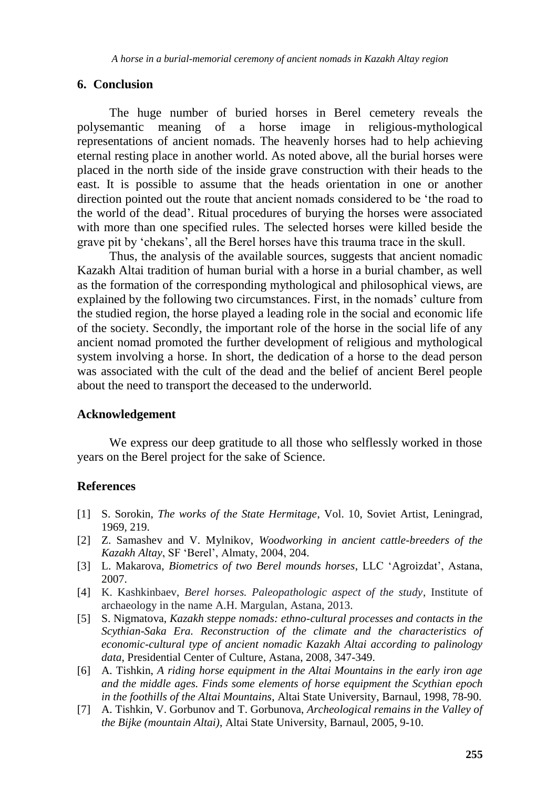### **6. Conclusion**

The huge number of buried horses in Berel cemetery reveals the polysemantic meaning of a horse image in religious-mythological representations of ancient nomads. The heavenly horses had to help achieving eternal resting place in another world. As noted above, all the burial horses were placed in the north side of the inside grave construction with their heads to the east. It is possible to assume that the heads orientation in one or another direction pointed out the route that ancient nomads considered to be 'the road to the world of the dead'. Ritual procedures of burying the horses were associated with more than one specified rules. The selected horses were killed beside the grave pit by 'chekans', all the Berel horses have this trauma trace in the skull.

Thus, the analysis of the available sources, suggests that ancient nomadic Kazakh Altai tradition of human burial with a horse in a burial chamber, as well as the formation of the corresponding mythological and philosophical views, are explained by the following two circumstances. First, in the nomads' culture from the studied region, the horse played a leading role in the social and economic life of the society. Secondly, the important role of the horse in the social life of any ancient nomad promoted the further development of religious and mythological system involving a horse. In short, the dedication of a horse to the dead person was associated with the cult of the dead and the belief of ancient Berel people about the need to transport the deceased to the underworld.

#### **Acknowledgement**

We express our deep gratitude to all those who selflessly worked in those years on the Berel project for the sake of Science.

#### **References**

- [1] S. Sorokin, *The works of the State Hermitage*, Vol. 10, Soviet Artist, Leningrad, 1969, 219.
- [2] Z. Samashev and V. Mylnikov, *Woodworking in ancient cattle-breeders of the Kazakh Altay*, SF 'Berel', Almaty, 2004, 204.
- [3] L. Makarova, *Biometrics of two Berel mounds horses*, LLC 'Agroizdat', Astana, 2007.
- [4] K. Kashkinbaev, *Berel horses. Paleopathologic aspect of the study*, Institute of archaeology in the name A.H. Margulan, Astana, 2013.
- [5] S. Nigmatova, *Kazakh steppe nomads: ethno-cultural processes and contacts in the Scythian-Saka Era. Reconstruction of the climate and the characteristics of economic-cultural type of ancient nomadic Kazakh Altai according to palinology data*, Presidential Center of Culture, Astana, 2008, 347-349.
- [6] A. Tishkin, *A riding horse equipment in the Altai Mountains in the early iron age and the middle ages. Finds some elements of horse equipment the Scythian epoch in the foothills of the Altai Mountains*, Altai State University, Barnaul, 1998, 78-90.
- [7] A. Tishkin, V. Gorbunov and T. Gorbunova, *Archeological remains in the Valley of the Bijke (mountain Altai)*, Altai State University, Barnaul, 2005, 9-10.